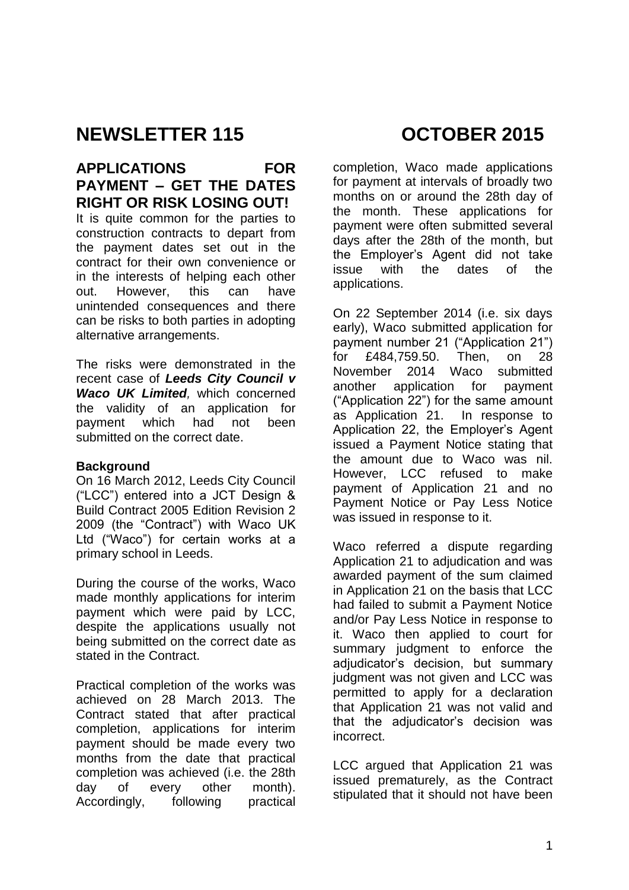# **NEWSLETTER 115 OCTOBER 2015**

# **APPLICATIONS FOR PAYMENT – GET THE DATES RIGHT OR RISK LOSING OUT!**

It is quite common for the parties to construction contracts to depart from the payment dates set out in the contract for their own convenience or in the interests of helping each other out. However, this can have unintended consequences and there can be risks to both parties in adopting alternative arrangements.

The risks were demonstrated in the recent case of *Leeds City Council v Waco UK Limited*, which concerned the validity of an application for payment which had not been submitted on the correct date.

#### **Background**

On 16 March 2012, Leeds City Council ("LCC") entered into a JCT Design & Build Contract 2005 Edition Revision 2 2009 (the "Contract") with Waco UK Ltd ("Waco") for certain works at a primary school in Leeds.

During the course of the works, Waco made monthly applications for interim payment which were paid by LCC, despite the applications usually not being submitted on the correct date as stated in the Contract.

Practical completion of the works was achieved on 28 March 2013. The Contract stated that after practical completion, applications for interim payment should be made every two months from the date that practical completion was achieved (i.e. the 28th day of every other month). Accordingly, following practical

completion, Waco made applications for payment at intervals of broadly two months on or around the 28th day of the month. These applications for payment were often submitted several days after the 28th of the month, but the Employer's Agent did not take issue with the dates of the applications.

On 22 September 2014 (i.e. six days early), Waco submitted application for payment number 21 ("Application 21") for £484,759.50. Then, on 28 November 2014 Waco submitted another application for payment ("Application 22") for the same amount as Application 21. In response to Application 22, the Employer's Agent issued a Payment Notice stating that the amount due to Waco was nil. However, LCC refused to make payment of Application 21 and no Payment Notice or Pay Less Notice was issued in response to it.

Waco referred a dispute regarding Application 21 to adjudication and was awarded payment of the sum claimed in Application 21 on the basis that LCC had failed to submit a Payment Notice and/or Pay Less Notice in response to it. Waco then applied to court for summary judgment to enforce the adjudicator's decision, but summary judgment was not given and LCC was permitted to apply for a declaration that Application 21 was not valid and that the adjudicator's decision was incorrect.

LCC argued that Application 21 was issued prematurely, as the Contract stipulated that it should not have been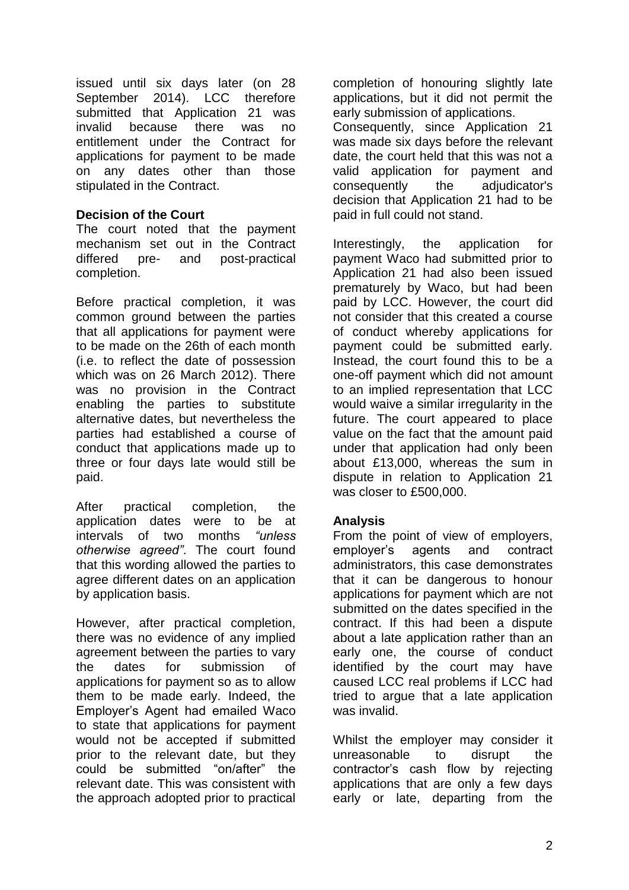issued until six days later (on 28 September 2014). LCC therefore submitted that Application 21 was invalid because there was no entitlement under the Contract for applications for payment to be made on any dates other than those stipulated in the Contract.

### **Decision of the Court**

The court noted that the payment mechanism set out in the Contract differed pre- and post-practical completion.

Before practical completion, it was common ground between the parties that all applications for payment were to be made on the 26th of each month (i.e. to reflect the date of possession which was on 26 March 2012). There was no provision in the Contract enabling the parties to substitute alternative dates, but nevertheless the parties had established a course of conduct that applications made up to three or four days late would still be paid.

After practical completion, the application dates were to be at intervals of two months *"unless otherwise agreed"*. The court found that this wording allowed the parties to agree different dates on an application by application basis.

However, after practical completion, there was no evidence of any implied agreement between the parties to vary the dates for submission of applications for payment so as to allow them to be made early. Indeed, the Employer's Agent had emailed Waco to state that applications for payment would not be accepted if submitted prior to the relevant date, but they could be submitted "on/after" the relevant date. This was consistent with the approach adopted prior to practical

completion of honouring slightly late applications, but it did not permit the early submission of applications.

Consequently, since Application 21 was made six days before the relevant date, the court held that this was not a valid application for payment and consequently the adjudicator's decision that Application 21 had to be paid in full could not stand.

Interestingly, the application for payment Waco had submitted prior to Application 21 had also been issued prematurely by Waco, but had been paid by LCC. However, the court did not consider that this created a course of conduct whereby applications for payment could be submitted early. Instead, the court found this to be a one-off payment which did not amount to an implied representation that LCC would waive a similar irregularity in the future. The court appeared to place value on the fact that the amount paid under that application had only been about £13,000, whereas the sum in dispute in relation to Application 21 was closer to £500,000.

#### **Analysis**

From the point of view of employers, employer's agents and contract administrators, this case demonstrates that it can be dangerous to honour applications for payment which are not submitted on the dates specified in the contract. If this had been a dispute about a late application rather than an early one, the course of conduct identified by the court may have caused LCC real problems if LCC had tried to argue that a late application was invalid.

Whilst the employer may consider it unreasonable to disrupt the contractor's cash flow by rejecting applications that are only a few days early or late, departing from the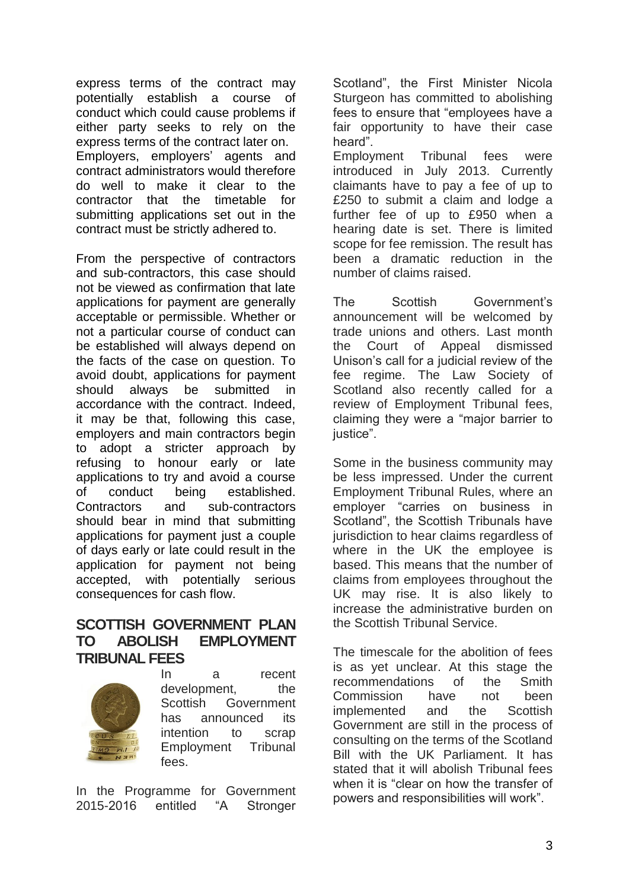express terms of the contract may potentially establish a course of conduct which could cause problems if either party seeks to rely on the express terms of the contract later on. Employers, employers' agents and contract administrators would therefore do well to make it clear to the contractor that the timetable for submitting applications set out in the contract must be strictly adhered to.

From the perspective of contractors and sub-contractors, this case should not be viewed as confirmation that late applications for payment are generally acceptable or permissible. Whether or not a particular course of conduct can be established will always depend on the facts of the case on question. To avoid doubt, applications for payment should always be submitted in accordance with the contract. Indeed, it may be that, following this case, employers and main contractors begin to adopt a stricter approach by refusing to honour early or late applications to try and avoid a course of conduct being established. Contractors and sub-contractors should bear in mind that submitting applications for payment just a couple of days early or late could result in the application for payment not being accepted, with potentially serious consequences for cash flow.

# **SCOTTISH GOVERNMENT PLAN TO ABOLISH EMPLOYMENT TRIBUNAL FEES**



In a recent development, the Scottish Government has announced its intention to scrap Employment Tribunal fees.

In the Programme for Government 2015-2016 entitled "A Stronger Scotland", the First Minister Nicola Sturgeon has committed to abolishing fees to ensure that "employees have a fair opportunity to have their case heard".

Employment Tribunal fees were introduced in July 2013. Currently claimants have to pay a fee of up to £250 to submit a claim and lodge a further fee of up to £950 when a hearing date is set. There is limited scope for fee remission. The result has been a dramatic reduction in the number of claims raised.

The Scottish Government's announcement will be welcomed by trade unions and others. Last month the Court of Appeal dismissed Unison's call for a judicial review of the fee regime. The Law Society of Scotland also recently called for a review of Employment Tribunal fees, claiming they were a "major barrier to justice".

Some in the business community may be less impressed. Under the current Employment Tribunal Rules, where an employer "carries on business in Scotland", the Scottish Tribunals have jurisdiction to hear claims regardless of where in the UK the employee is based. This means that the number of claims from employees throughout the UK may rise. It is also likely to increase the administrative burden on the Scottish Tribunal Service.

The timescale for the abolition of fees is as yet unclear. At this stage the recommendations of the Smith Commission have not been implemented and the Scottish Government are still in the process of consulting on the terms of the Scotland Bill with the UK Parliament. It has stated that it will abolish Tribunal fees when it is "clear on how the transfer of powers and responsibilities will work".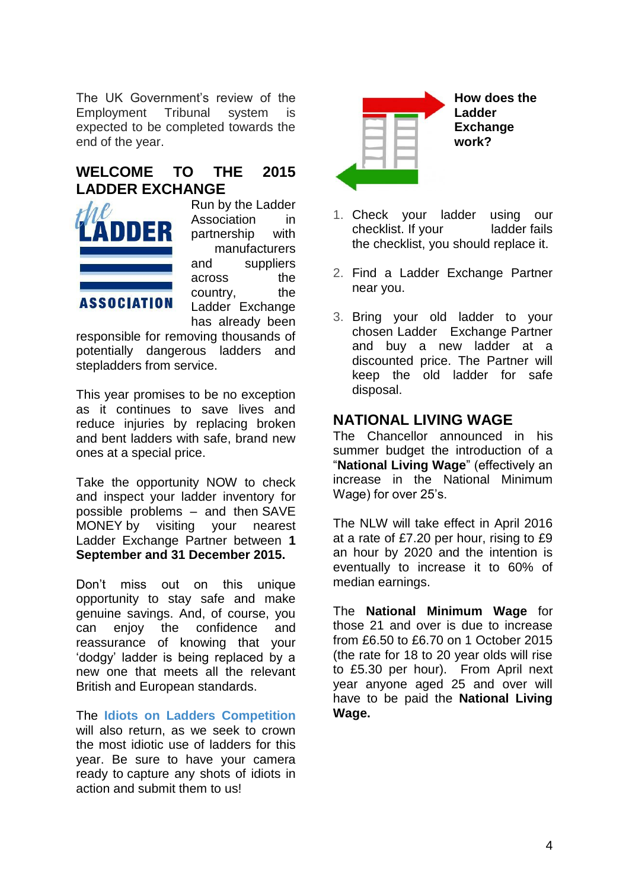The UK Government's review of the Employment Tribunal system is expected to be completed towards the end of the year.

# **WELCOME TO THE 2015 LADDER EXCHANGE**



Run by the Ladder Association in partnership with manufacturers and suppliers across the country, the Ladder Exchange has already been

responsible for removing thousands of potentially dangerous ladders and stepladders from service.

This year promises to be no exception as it continues to save lives and reduce injuries by replacing broken and bent ladders with safe, brand new ones at a special price.

Take the opportunity NOW to check and inspect your ladder inventory for possible problems – and then SAVE MONEY by visiting your nearest Ladder Exchange Partner between **1 September and 31 December 2015.**

Don't miss out on this unique opportunity to stay safe and make genuine savings. And, of course, you can enjoy the confidence and reassurance of knowing that your 'dodgy' ladder is being replaced by a new one that meets all the relevant British and European standards.

The **[Idiots on Ladders Competition](http://ladderassociation.org.uk/ladder-exchange/idiots-on-ladders/)** will also return, as we seek to crown the most idiotic use of ladders for this year. Be sure to have your camera ready to capture any shots of idiots in action and submit them to us!



- 1. Check your ladder using our [checklist.](http://ladderassociation.org.uk/ladder-exchange/ladder-exchange-checklist-2/) If your ladder fails the checklist, you should replace it.
- 2. Find a [Ladder Exchange Partner](http://ladderassociation.org.uk/ladder-exchange/ladder-exchange-partners/) near you.
- 3. Bring your old ladder to your chosen Ladder Exchange Partner and buy a new ladder at a discounted price. The Partner will keep the old ladder for safe disposal.

# **NATIONAL LIVING WAGE**

The Chancellor announced in his summer budget the introduction of a "**National Living Wage**" (effectively an increase in the National Minimum Wage) for over 25's.

The NLW will take effect in April 2016 at a rate of £7.20 per hour, rising to £9 an hour by 2020 and the intention is eventually to increase it to 60% of median earnings.

The **National Minimum Wage** for those 21 and over is due to increase from £6.50 to £6.70 on 1 October 2015 (the rate for 18 to 20 year olds will rise to £5.30 per hour). From April next year anyone aged 25 and over will have to be paid the **National Living Wage.**